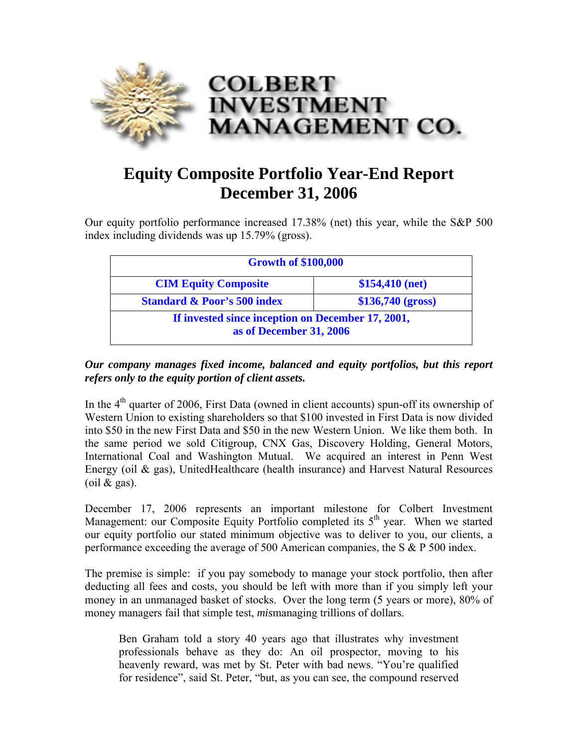

## **Equity Composite Portfolio Year-End Report December 31, 2006**

Our equity portfolio performance increased 17.38% (net) this year, while the S&P 500 index including dividends was up 15.79% (gross).

| <b>Growth of \$100,000</b>                                                   |                   |
|------------------------------------------------------------------------------|-------------------|
| <b>CIM Equity Composite</b>                                                  | $$154,410$ (net)  |
| <b>Standard &amp; Poor's 500 index</b>                                       | \$136,740 (gross) |
| If invested since inception on December 17, 2001,<br>as of December 31, 2006 |                   |

## *Our company manages fixed income, balanced and equity portfolios, but this report refers only to the equity portion of client assets.*

In the  $4<sup>th</sup>$  quarter of 2006, First Data (owned in client accounts) spun-off its ownership of Western Union to existing shareholders so that \$100 invested in First Data is now divided into \$50 in the new First Data and \$50 in the new Western Union. We like them both. In the same period we sold Citigroup, CNX Gas, Discovery Holding, General Motors, International Coal and Washington Mutual. We acquired an interest in Penn West Energy (oil  $\&$  gas), UnitedHealthcare (health insurance) and Harvest Natural Resources (oil  $\&$  gas).

December 17, 2006 represents an important milestone for Colbert Investment Management: our Composite Equity Portfolio completed its  $5<sup>th</sup>$  year. When we started our equity portfolio our stated minimum objective was to deliver to you, our clients, a performance exceeding the average of 500 American companies, the S & P 500 index.

The premise is simple: if you pay somebody to manage your stock portfolio, then after deducting all fees and costs, you should be left with more than if you simply left your money in an unmanaged basket of stocks. Over the long term (5 years or more), 80% of money managers fail that simple test, *mis*managing trillions of dollars.

Ben Graham told a story 40 years ago that illustrates why investment professionals behave as they do: An oil prospector, moving to his heavenly reward, was met by St. Peter with bad news. "You're qualified for residence", said St. Peter, "but, as you can see, the compound reserved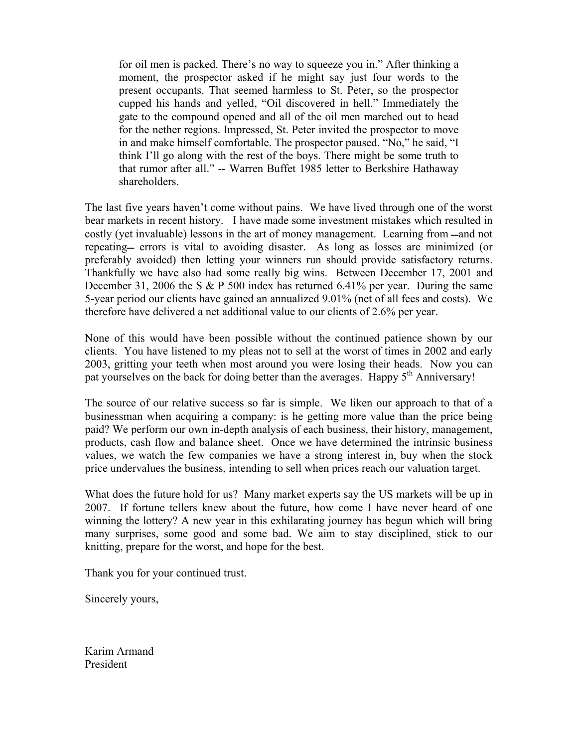for oil men is packed. There's no way to squeeze you in." After thinking a moment, the prospector asked if he might say just four words to the present occupants. That seemed harmless to St. Peter, so the prospector cupped his hands and yelled, "Oil discovered in hell." Immediately the gate to the compound opened and all of the oil men marched out to head for the nether regions. Impressed, St. Peter invited the prospector to move in and make himself comfortable. The prospector paused. "No," he said, "I think I'll go along with the rest of the boys. There might be some truth to that rumor after all." -- Warren Buffet 1985 letter to Berkshire Hathaway shareholders.

The last five years haven't come without pains. We have lived through one of the worst bear markets in recent history. I have made some investment mistakes which resulted in costly (yet invaluable) lessons in the art of money management. Learning from —and not repeating— errors is vital to avoiding disaster. As long as losses are minimized (or preferably avoided) then letting your winners run should provide satisfactory returns. Thankfully we have also had some really big wins. Between December 17, 2001 and December 31, 2006 the S & P 500 index has returned 6.41% per year. During the same 5-year period our clients have gained an annualized 9.01% (net of all fees and costs). We therefore have delivered a net additional value to our clients of 2.6% per year.

None of this would have been possible without the continued patience shown by our clients. You have listened to my pleas not to sell at the worst of times in 2002 and early 2003, gritting your teeth when most around you were losing their heads. Now you can pat yourselves on the back for doing better than the averages. Happy 5<sup>th</sup> Anniversary!

The source of our relative success so far is simple. We liken our approach to that of a businessman when acquiring a company: is he getting more value than the price being paid? We perform our own in-depth analysis of each business, their history, management, products, cash flow and balance sheet. Once we have determined the intrinsic business values, we watch the few companies we have a strong interest in, buy when the stock price undervalues the business, intending to sell when prices reach our valuation target.

What does the future hold for us? Many market experts say the US markets will be up in 2007. If fortune tellers knew about the future, how come I have never heard of one winning the lottery? A new year in this exhilarating journey has begun which will bring many surprises, some good and some bad. We aim to stay disciplined, stick to our knitting, prepare for the worst, and hope for the best.

Thank you for your continued trust.

Sincerely yours,

Karim Armand President